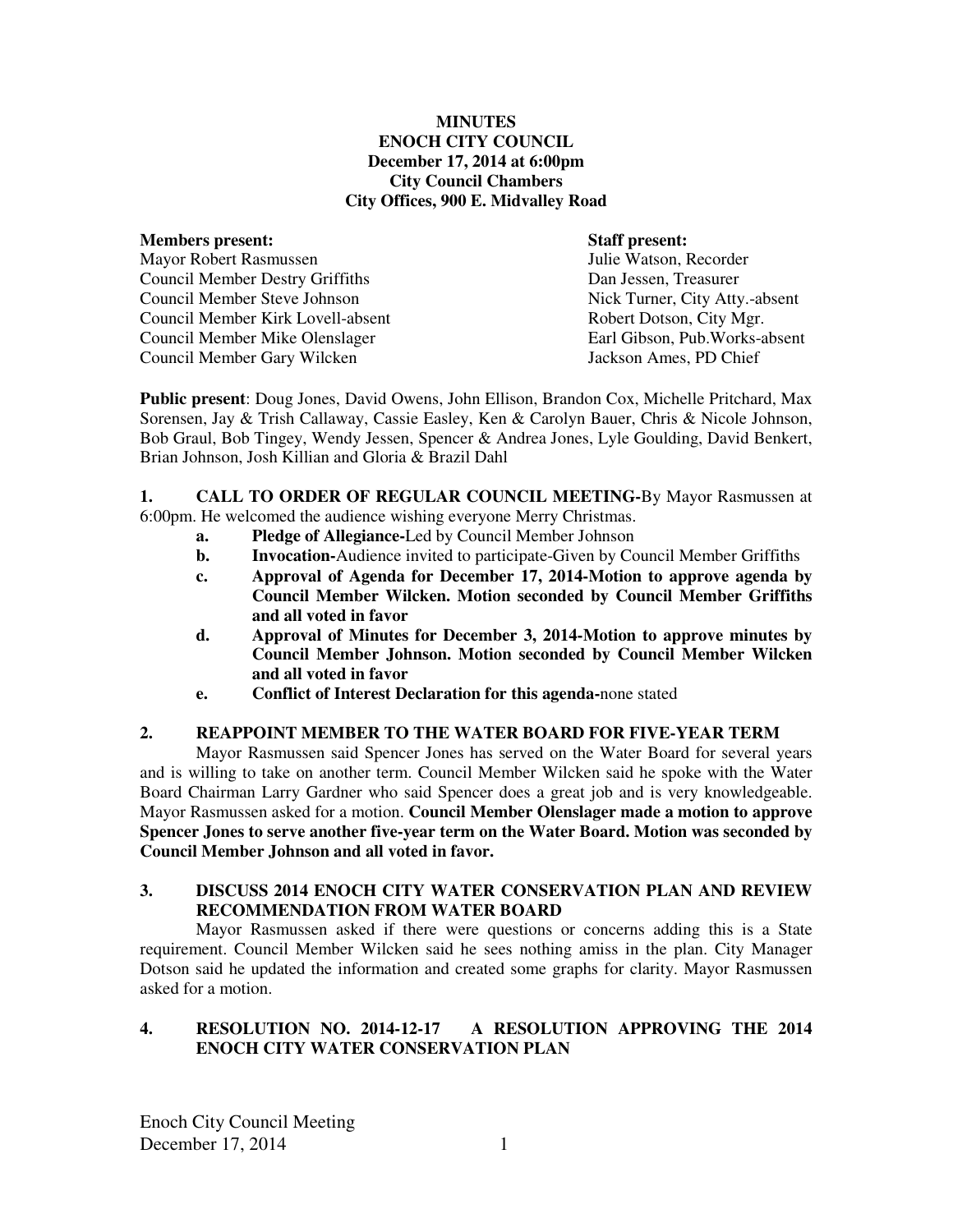## **MINUTES ENOCH CITY COUNCIL December 17, 2014 at 6:00pm City Council Chambers City Offices, 900 E. Midvalley Road**

**Members present: Staff present: Staff present: Staff present: Mayor Robert Rasmussen** Mayor Robert Rasmussen Council Member Destry Griffiths Dan Jessen, Treasurer Council Member Steve Johnson Nick Turner, City Atty.-absent Council Member Kirk Lovell-absent **Robert Dotson, City Mgr.** Robert Dotson, City Mgr. Council Member Mike Olenslager Earl Gibson, Pub.Works-absent Council Member Gary Wilcken Jackson Ames, PD Chief

**Public present**: Doug Jones, David Owens, John Ellison, Brandon Cox, Michelle Pritchard, Max Sorensen, Jay & Trish Callaway, Cassie Easley, Ken & Carolyn Bauer, Chris & Nicole Johnson, Bob Graul, Bob Tingey, Wendy Jessen, Spencer & Andrea Jones, Lyle Goulding, David Benkert, Brian Johnson, Josh Killian and Gloria & Brazil Dahl

**1. CALL TO ORDER OF REGULAR COUNCIL MEETING-**By Mayor Rasmussen at 6:00pm. He welcomed the audience wishing everyone Merry Christmas.

- **a. Pledge of Allegiance-**Led by Council Member Johnson
- **b.** Invocation-Audience invited to participate-Given by Council Member Griffiths
- **c. Approval of Agenda for December 17, 2014-Motion to approve agenda by Council Member Wilcken. Motion seconded by Council Member Griffiths and all voted in favor**
- **d. Approval of Minutes for December 3, 2014-Motion to approve minutes by Council Member Johnson. Motion seconded by Council Member Wilcken and all voted in favor**
- **e. Conflict of Interest Declaration for this agenda-**none stated

# **2. REAPPOINT MEMBER TO THE WATER BOARD FOR FIVE-YEAR TERM**

Mayor Rasmussen said Spencer Jones has served on the Water Board for several years and is willing to take on another term. Council Member Wilcken said he spoke with the Water Board Chairman Larry Gardner who said Spencer does a great job and is very knowledgeable. Mayor Rasmussen asked for a motion. **Council Member Olenslager made a motion to approve Spencer Jones to serve another five-year term on the Water Board. Motion was seconded by Council Member Johnson and all voted in favor.** 

# **3. DISCUSS 2014 ENOCH CITY WATER CONSERVATION PLAN AND REVIEW RECOMMENDATION FROM WATER BOARD**

Mayor Rasmussen asked if there were questions or concerns adding this is a State requirement. Council Member Wilcken said he sees nothing amiss in the plan. City Manager Dotson said he updated the information and created some graphs for clarity. Mayor Rasmussen asked for a motion.

## **4. RESOLUTION NO. 2014-12-17 A RESOLUTION APPROVING THE 2014 ENOCH CITY WATER CONSERVATION PLAN**

Enoch City Council Meeting December 17, 2014 1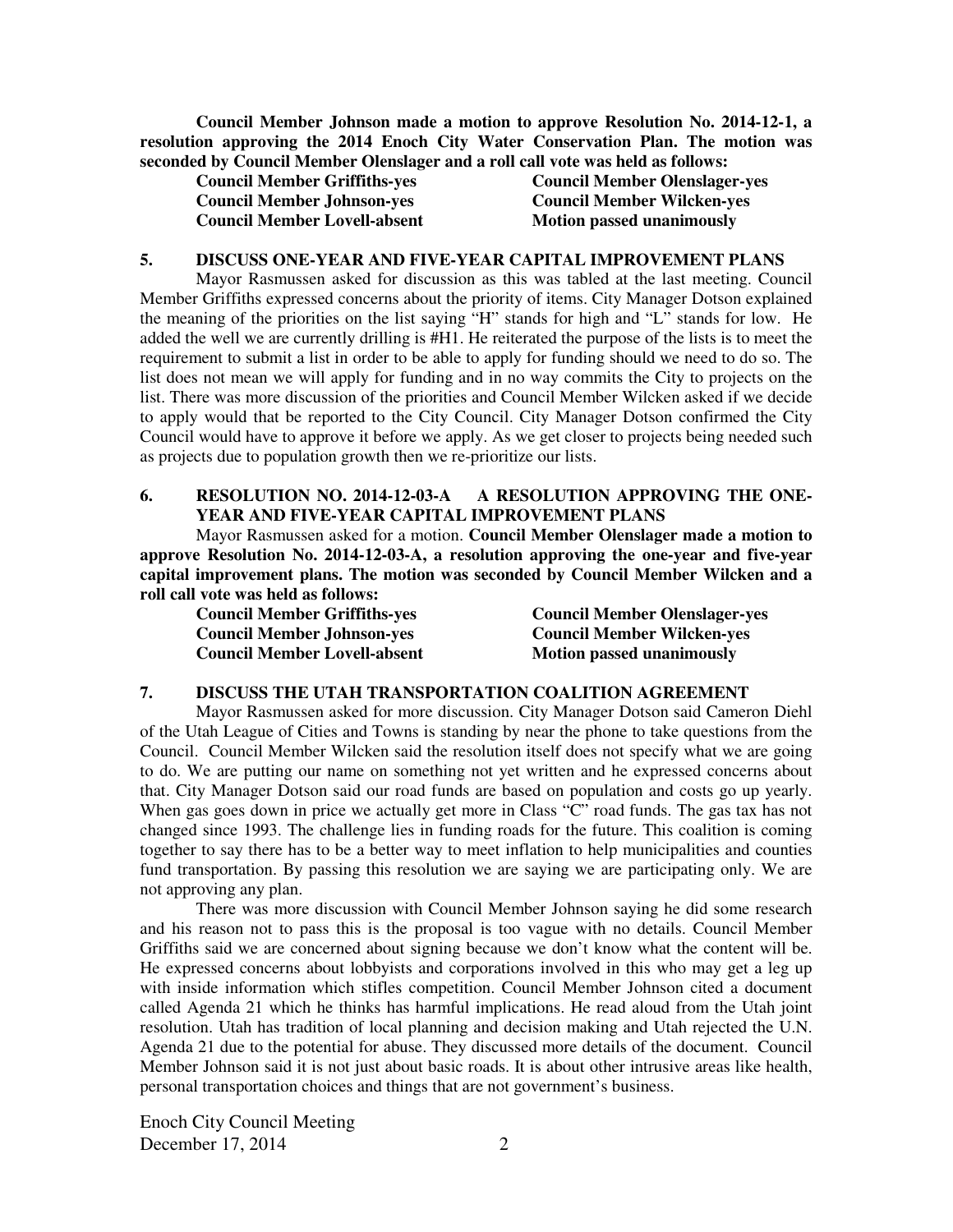**Council Member Johnson made a motion to approve Resolution No. 2014-12-1, a resolution approving the 2014 Enoch City Water Conservation Plan. The motion was seconded by Council Member Olenslager and a roll call vote was held as follows:** 

| <b>Council Member Griffiths-yes</b> |  |
|-------------------------------------|--|
| <b>Council Member Johnson-yes</b>   |  |
| <b>Council Member Lovell-absent</b> |  |

**Council Member Olenslager-yes Council Member Wilcken-yes Motion passed unanimously** 

#### **5. DISCUSS ONE-YEAR AND FIVE-YEAR CAPITAL IMPROVEMENT PLANS**

Mayor Rasmussen asked for discussion as this was tabled at the last meeting. Council Member Griffiths expressed concerns about the priority of items. City Manager Dotson explained the meaning of the priorities on the list saying "H" stands for high and "L" stands for low. He added the well we are currently drilling is #H1. He reiterated the purpose of the lists is to meet the requirement to submit a list in order to be able to apply for funding should we need to do so. The list does not mean we will apply for funding and in no way commits the City to projects on the list. There was more discussion of the priorities and Council Member Wilcken asked if we decide to apply would that be reported to the City Council. City Manager Dotson confirmed the City Council would have to approve it before we apply. As we get closer to projects being needed such as projects due to population growth then we re-prioritize our lists.

## **6. RESOLUTION NO. 2014-12-03-A A RESOLUTION APPROVING THE ONE-YEAR AND FIVE-YEAR CAPITAL IMPROVEMENT PLANS**

Mayor Rasmussen asked for a motion. **Council Member Olenslager made a motion to approve Resolution No. 2014-12-03-A, a resolution approving the one-year and five-year capital improvement plans. The motion was seconded by Council Member Wilcken and a roll call vote was held as follows:** 

| <b>Council Member Griffiths-yes</b> | <b>Council Member Olenslager-yes</b> |
|-------------------------------------|--------------------------------------|
| <b>Council Member Johnson-yes</b>   | <b>Council Member Wilcken-yes</b>    |
| <b>Council Member Lovell-absent</b> | <b>Motion passed unanimously</b>     |

#### **7. DISCUSS THE UTAH TRANSPORTATION COALITION AGREEMENT**

Mayor Rasmussen asked for more discussion. City Manager Dotson said Cameron Diehl of the Utah League of Cities and Towns is standing by near the phone to take questions from the Council. Council Member Wilcken said the resolution itself does not specify what we are going to do. We are putting our name on something not yet written and he expressed concerns about that. City Manager Dotson said our road funds are based on population and costs go up yearly. When gas goes down in price we actually get more in Class "C" road funds. The gas tax has not changed since 1993. The challenge lies in funding roads for the future. This coalition is coming together to say there has to be a better way to meet inflation to help municipalities and counties fund transportation. By passing this resolution we are saying we are participating only. We are not approving any plan.

There was more discussion with Council Member Johnson saying he did some research and his reason not to pass this is the proposal is too vague with no details. Council Member Griffiths said we are concerned about signing because we don't know what the content will be. He expressed concerns about lobbyists and corporations involved in this who may get a leg up with inside information which stifles competition. Council Member Johnson cited a document called Agenda 21 which he thinks has harmful implications. He read aloud from the Utah joint resolution. Utah has tradition of local planning and decision making and Utah rejected the U.N. Agenda 21 due to the potential for abuse. They discussed more details of the document. Council Member Johnson said it is not just about basic roads. It is about other intrusive areas like health, personal transportation choices and things that are not government's business.

Enoch City Council Meeting December 17, 2014 2